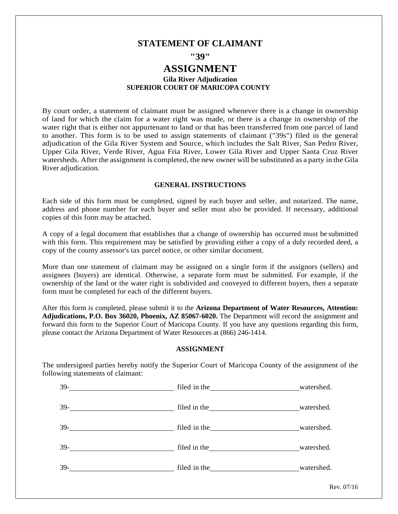# **STATEMENT OF CLAIMANT**

**"39"**

# **ASSIGNMENT**

## **Gila River Adjudication SUPERIOR COURT OF MARICOPA COUNTY**

By court order, a statement of claimant must be assigned whenever there is a change in ownership of land for which the claim for a water right was made, or there is a change in ownership of the water right that is either not appurtenant to land or that has been transferred from one parcel of land to another. This form is to be used to assign statements of claimant ("39s") filed in the general adjudication of the Gila River System and Source, which includes the Salt River, San Pedro River, Upper Gila River, Verde River, Agua Fria River, Lower Gila River and Upper Santa Cruz River watersheds. After the assignment is completed, the new owner will be substituted as a party in the Gila River adjudication.

#### **GENERAL INSTRUCTIONS**

Each side of this form must be completed, signed by each buyer and seller, and notarized. The name, address and phone number for each buyer and seller must also be provided. If necessary, additional copies of this form may be attached.

A copy of a legal document that establishes that a change of ownership has occurred must be submitted with this form. This requirement may be satisfied by providing either a copy of a duly recorded deed, a copy of the county assessor's tax parcel notice, or other similar document.

More than one statement of claimant may be assigned on a single form if the assignors (sellers) and assignees (buyers) are identical. Otherwise, a separate form must be submitted. For example, if the ownership of the land or the water right is subdivided and conveyed to different buyers, then a separate form must be completed for each of the different buyers.

After this form is completed, please submit it to the **Arizona Department of Water Resources, Attention: Adjudications, P.O. Box 36020, Phoenix, AZ 85067-6020.** The Department will record the assignment and forward this form to the Superior Court of Maricopa County. If you have any questions regarding this form, please contact the Arizona Department of Water Resources at (866) 246-1414.

### **ASSIGNMENT**

The undersigned parties hereby notify the Superior Court of Maricopa County of the assignment of the following statements of claimant:

| $39-$                                                        | filed in the watershed.                                                                                                                                                                                                             |            |
|--------------------------------------------------------------|-------------------------------------------------------------------------------------------------------------------------------------------------------------------------------------------------------------------------------------|------------|
| $39-$<br><u> 1989 - Johann Barbara, martxa alemaniar a</u>   |                                                                                                                                                                                                                                     | watershed. |
| $39-$<br><u> 1990 - Johann Barbara, martin eta politikar</u> | filed in the <u>same service</u> and the same of the same of the same of the same of the same of the same of the same of the same of the same of the same of the same of the same of the same of the same of the same of the same o | watershed. |
|                                                              |                                                                                                                                                                                                                                     | watershed. |
| $39-$                                                        | filed in the watershed.                                                                                                                                                                                                             |            |